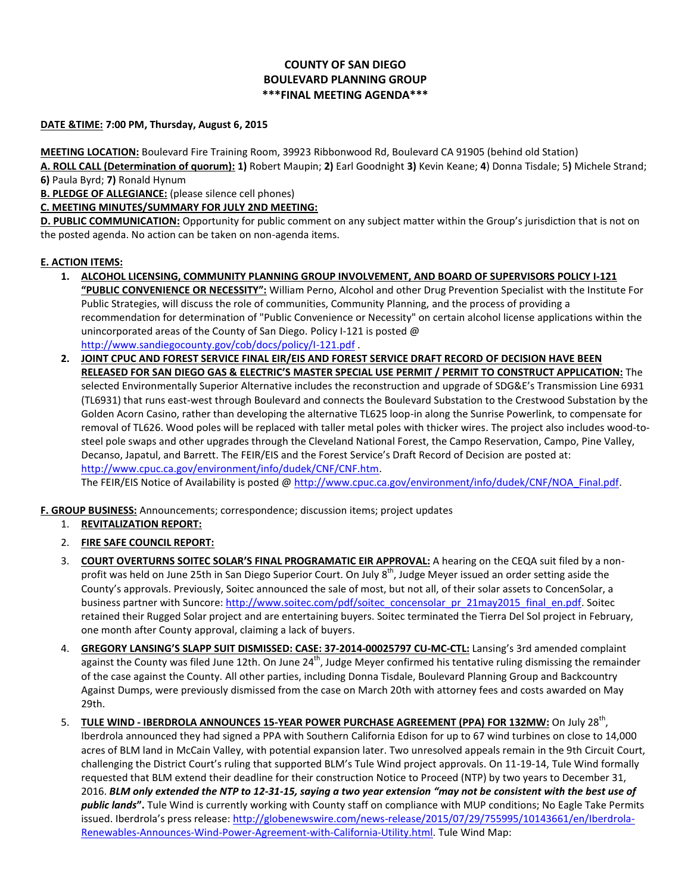## **COUNTY OF SAN DIEGO BOULEVARD PLANNING GROUP \*\*\*FINAL MEETING AGENDA\*\*\***

## **DATE &TIME: 7:00 PM, Thursday, August 6, 2015**

**MEETING LOCATION:** Boulevard Fire Training Room, 39923 Ribbonwood Rd, Boulevard CA 91905 (behind old Station) **A. ROLL CALL (Determination of quorum): 1)** Robert Maupin; **2)** Earl Goodnight **3)** Kevin Keane; **4**) Donna Tisdale; 5**)** Michele Strand;

**6)** Paula Byrd; **7)** Ronald Hynum

**B. PLEDGE OF ALLEGIANCE:** (please silence cell phones)

**C. MEETING MINUTES/SUMMARY FOR JULY 2ND MEETING:** 

**D. PUBLIC COMMUNICATION:** Opportunity for public comment on any subject matter within the Group's jurisdiction that is not on the posted agenda. No action can be taken on non-agenda items.

## **E. ACTION ITEMS:**

- **1. ALCOHOL LICENSING, COMMUNITY PLANNING GROUP INVOLVEMENT, AND BOARD OF SUPERVISORS POLICY I-121 "PUBLIC CONVENIENCE OR NECESSITY":** William Perno, Alcohol and other Drug Prevention Specialist with the Institute For Public Strategies, will discuss the role of communities, Community Planning, and the process of providing a recommendation for determination of "Public Convenience or Necessity" on certain alcohol license applications within the unincorporated areas of the County of San Diego. Policy I-121 is posted @ <http://www.sandiegocounty.gov/cob/docs/policy/I-121.pdf> .
- **2. JOINT CPUC AND FOREST SERVICE FINAL EIR/EIS AND FOREST SERVICE DRAFT RECORD OF DECISION HAVE BEEN RELEASED FOR SAN DIEGO GAS & ELECTRIC'S MASTER SPECIAL USE PERMIT / PERMIT TO CONSTRUCT APPLICATION:** The selected Environmentally Superior Alternative includes the reconstruction and upgrade of SDG&E's Transmission Line 6931 (TL6931) that runs east-west through Boulevard and connects the Boulevard Substation to the Crestwood Substation by the Golden Acorn Casino, rather than developing the alternative TL625 loop-in along the Sunrise Powerlink, to compensate for removal of TL626. Wood poles will be replaced with taller metal poles with thicker wires. The project also includes wood-tosteel pole swaps and other upgrades through the Cleveland National Forest, the Campo Reservation, Campo, Pine Valley, Decanso, Japatul, and Barrett. The FEIR/EIS and the Forest Service's Draft Record of Decision are posted at: [http://www.cpuc.ca.gov/environment/info/dudek/CNF/CNF.htm.](http://www.cpuc.ca.gov/environment/info/dudek/CNF/CNF.htm)

The FEIR/EIS Notice of Availability is posted @ [http://www.cpuc.ca.gov/environment/info/dudek/CNF/NOA\\_Final.pdf.](http://www.cpuc.ca.gov/environment/info/dudek/CNF/NOA_Final.pdf)

**F. GROUP BUSINESS:** Announcements; correspondence; discussion items; project updates

- 1. **REVITALIZATION REPORT:**
- 2. **FIRE SAFE COUNCIL REPORT:**
- 3. **COURT OVERTURNS SOITEC SOLAR'S FINAL PROGRAMATIC EIR APPROVAL:** A hearing on the CEQA suit filed by a nonprofit was held on June 25th in San Diego Superior Court. On July 8<sup>th</sup>, Judge Meyer issued an order setting aside the County's approvals. Previously, Soitec announced the sale of most, but not all, of their solar assets to ConcenSolar, a business partner with Suncore: [http://www.soitec.com/pdf/soitec\\_concensolar\\_pr\\_21may2015\\_final\\_en.pdf.](http://www.soitec.com/pdf/soitec_concensolar_pr_21may2015_final_en.pdf) Soitec retained their Rugged Solar project and are entertaining buyers. Soitec terminated the Tierra Del Sol project in February, one month after County approval, claiming a lack of buyers.
- 4. **GREGORY LANSING'S SLAPP SUIT DISMISSED: CASE: 37-2014-00025797 CU-MC-CTL:** Lansing's 3rd amended complaint against the County was filed June 12th. On June  $24^{th}$ , Judge Meyer confirmed his tentative ruling dismissing the remainder of the case against the County. All other parties, including Donna Tisdale, Boulevard Planning Group and Backcountry Against Dumps, were previously dismissed from the case on March 20th with attorney fees and costs awarded on May 29th.
- 5. **TULE WIND - IBERDROLA ANNOUNCES 15-YEAR POWER PURCHASE AGREEMENT (PPA) FOR 132MW:** On July 28th , Iberdrola announced they had signed a PPA with Southern California Edison for up to 67 wind turbines on close to 14,000 acres of BLM land in McCain Valley, with potential expansion later. Two unresolved appeals remain in the 9th Circuit Court, challenging the District Court's ruling that supported BLM's Tule Wind project approvals. On 11-19-14, Tule Wind formally requested that BLM extend their deadline for their construction Notice to Proceed (NTP) by two years to December 31, 2016. *BLM only extended the NTP to 12-31-15, saying a two year extension "may not be consistent with the best use of public lands***".** Tule Wind is currently working with County staff on compliance with MUP conditions; No Eagle Take Permits issued. Iberdrola's press release[: http://globenewswire.com/news-release/2015/07/29/755995/10143661/en/Iberdrola-](http://globenewswire.com/news-release/2015/07/29/755995/10143661/en/Iberdrola-Renewables-Announces-Wind-Power-Agreement-with-California-Utility.html)[Renewables-Announces-Wind-Power-Agreement-with-California-Utility.html.](http://globenewswire.com/news-release/2015/07/29/755995/10143661/en/Iberdrola-Renewables-Announces-Wind-Power-Agreement-with-California-Utility.html) Tule Wind Map: